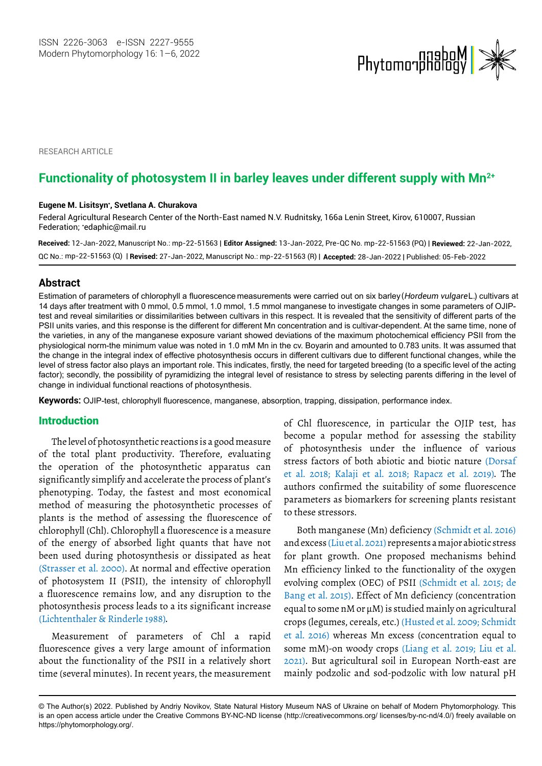

RESEARCH ARTICLE

# Functionality of photosystem II in barley leaves under different supply with Mn<sup>2+</sup>

#### **Eugene M. Lisitsyn\* , Svetlana A. Churakova**

Federal Agricultural Research Center of the North-East named N.V. Rudnitsky, 166a Lenin Street, Kirov, 610007, Russian Federation; \* [edaphic@mail.ru](mailto:edaphic@mail.ru)

**Received:** 12-Jan-2022, Manuscript No.: mp-22-51563 | **Editor Assigned:** 13-Jan-2022, Pre-QC No. mp-22-51563 (PQ) | **Reviewed:** 22-Jan-2022, mp-22-51563 (Q) | **Revised:** 27-Jan-2022, Manuscript No.: mp-22-51563 (R) | **Accepted:** 28-Jan-2022 | Published: 05-Feb-2022 QC No.:

#### **Abstract**

14 days after treatment with 0 mmol, 0.5 mmol, 1.0 mmol, 1.5 mmol manganese to investigate changes in some parameters of OJIPtest and reveal similarities or dissimilarities between cultivars in this respect. It is revealed that the sensitivity of different parts of the PSII units varies, and this response is the different for different Mn concentration and is cultivar-dependent. At the same time, none of the varieties, in any of the manganese exposure variant showed deviations of the maximum photochemical efficiency PSII from the physiological norm-the minimum value was noted in 1.0 mM Mn in the cv. Boyarin and amounted to 0.783 units. It was assumed that the change in the integral index of effective photosynthesis occurs in different cultivars due to different functional changes, while the level of stress factor also plays an important role. This indicates, firstly, the need for targeted breeding (to a specific level of the acting factor); secondly, the possibility of pyramidizing the integral level of resistance to stress by selecting parents differing in the level of change in individual functional reactions of photosynthesis. Estimation of parameters of chlorophyll a fluorescence measurements were carried out on six barley (*HHordeum vulgare* L.) cultivars at

**Keywords:** OJIP-test, chlorophyll fluorescence, manganese, absorption, trapping, dissipation, performance index.

#### Introduction

The level of photosynthetic reactions is a good measure of the total plant productivity. Therefore, evaluating the operation of the photosynthetic apparatus can significantly simplify and accelerate the process of plant's phenotyping. Today, the fastest and most economical method of measuring the photosynthetic processes of plants is the method of assessing the fluorescence of chlorophyll (Chl). Chlorophyll a fluorescence is a measure of the energy of absorbed light quants that have not been used during photosynthesis or dissipated as heat (Strasser et al. 2000). At normal and effective operation of photosystem II (PSII), the intensity of chlorophyll a fluorescence remains low, and any disruption to the photosynthesis process leads to a its significant increase (Lichtenthaler & Rinderle 1988).

Measurement of parameters of Chl a rapid fluorescence gives a very large amount of information about the functionality of the PSII in a relatively short time (several minutes). In recent years, the measurement

of Chl fluorescence, in particular the OJIP test, has become a popular method for assessing the stability of photosynthesis under the influence of various stress factors of both abiotic and biotic nature (Dorsaf et al. 2018; Kalaji et al. 2018; Rapacz et al. 2019). The authors confirmed the suitability of some fluorescence parameters as biomarkers for screening plants resistant to these stressors.

Both manganese (Mn) deficiency (Schmidt et al. 2016) and excess (Liu et al. 2021) represents a major abiotic stress for plant growth. One proposed mechanisms behind Mn efficiency linked to the functionality of the oxygen evolving complex (OEC) of PSII (Schmidt et al. 2015; de Bang et al. 2015). Effect of Mn deficiency (concentration equal to some  $nM$  or  $\mu$ M) is studied mainly on agricultural crops (legumes, cereals, etc.) (Husted et al. 2009; Schmidt et al. 2016) whereas Mn excess (concentration equal to some mM)-on woody crops (Liang et al. 2019; Liu et al. 2021). But agricultural soil in European North-east are mainly podzolic and sod-podzolic with low natural pH

<sup>©</sup> The Author(s) 2022. Published by Andriy Novikov, State Natural History Museum NAS of Ukraine on behalf of Modern Phytomorphology. This is an open access article under the Creative Commons BY-NC-ND license (http://creativecommons.org/ licenses/by-nc-nd/4.0/) freely available on https://phytomorphology.org/.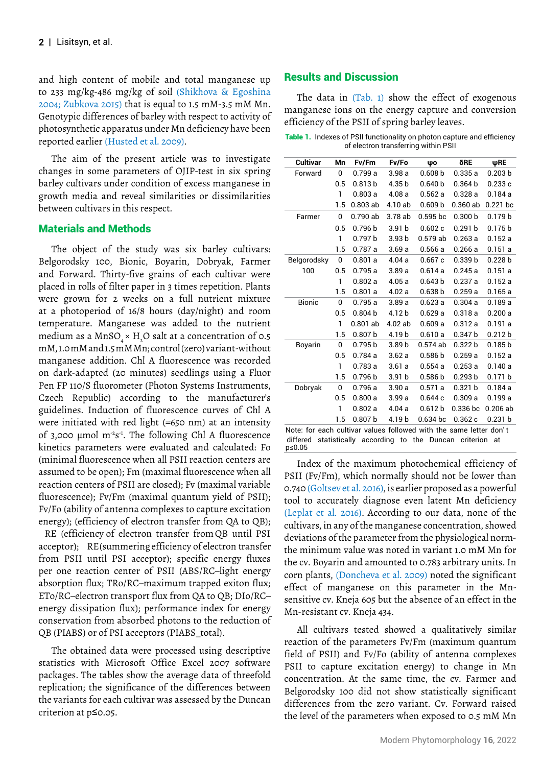and high content of mobile and total manganese up to 233 mg/kg-486 mg/kg of soil (Shikhova & Egoshina 2004; Zubkova 2015) that is equal to 1.5 mM-3.5 mM Mn. Genotypic differences of barley with respect to activity of photosynthetic apparatus under Mn deficiency have been reported earlier (Husted et al. 2009).

The aim of the present article was to investigate changes in some parameters of OJIP-test in six spring barley cultivars under condition of excess manganese in growth media and reveal similarities or dissimilarities between cultivars in this respect.

#### Materials and Methods

The object of the study was six barley cultivars: Belgorodsky 100, Bionic, Boyarin, Dobryak, Farmer and Forward. Thirty-five grains of each cultivar were placed in rolls of filter paper in 3 times repetition. Plants were grown for 2 weeks on a full nutrient mixture at a photoperiod of 16/8 hours (day/night) and room temperature. Manganese was added to the nutrient medium as a MnSO $_{\textrm{\tiny{4}}} \times$  H $_{\textrm{\tiny{2}}}$ O salt at a concentration of 0.5 mM, 1.0 mM and 1.5 mM Mn; control (zero) variant-without manganese addition. Chl A fluorescence was recorded on dark-adapted (20 minutes) seedlings using a Fluor Pen FP 110/S fluorometer (Photon Systems Instruments, Czech Republic) according to the manufacturer's guidelines. Induction of fluorescence curves of Chl A were initiated with red light (=650 nm) at an intensity of 3,000  $\mu$ mol m<sup>-2</sup>s<sup>-1</sup>. The following Chl A fluorescence kinetics parameters were evaluated and calculated: Fo (minimal fluorescence when all PSII reaction centers are assumed to be open); Fm (maximal fluorescence when all reaction centers of PSII are closed); Fv (maximal variable fluorescence); Fv/Fm (maximal quantum yield of PSII); Fv/Fo (ability of antenna complexes to capture excitation energy); (efficiency of electron transfer from QA to QB);

acceptor); RE (summering efficiency of electron transfer from PSII until PSI acceptor); specific energy fluxes per one reaction center of PSII (ABS/RC–light energy absorption flux; TRo/RC–maximum trapped exiton flux; ETo/RC–electron transport flux from QA to QB; DIo/RC– energy dissipation flux); performance index for energy conservation from absorbed photons to the reduction of QB (PIABS) or of PSI acceptors (PIABS\_total). RE (efficiency of electron transfer from QB until PSI

The obtained data were processed using descriptive statistics with Microsoft Office Excel 2007 software packages. The tables show the average data of threefold replication; the significance of the differences between the variants for each cultivar was assessed by the Duncan criterion at p≤0.05.

## Results and Discussion

The data in (Tab. 1) show the effect of exogenous manganese ions on the energy capture and conversion efficiency of the PSII of spring barley leaves.

Table 1. Indexes of PSII functionality on photon capture and efficiency of electron transferring within PSII

| Cultivar                                                           | Mn  | <b>Fv/Fm</b>       | Fv/Fo             | ψο                 | δRE                 | ψRE                |
|--------------------------------------------------------------------|-----|--------------------|-------------------|--------------------|---------------------|--------------------|
| Forward                                                            | 0   | 0.799a             | 3.98a             | 0.608 b            | 0.335a              | 0.203 <sub>b</sub> |
|                                                                    | 0.5 | 0.813 <sub>b</sub> | 4.35 b            | 0.640 <sub>b</sub> | 0.364 <sub>b</sub>  | 0.233c             |
|                                                                    | 1   | 0.803a             | 4.08a             | 0.562a             | 0.328a              | 0.184a             |
|                                                                    | 1.5 | $0.803$ ab         | 4.10 ab           | 0.609 <sub>b</sub> | $0.360$ ab          | $0.221$ bc         |
| Farmer                                                             | 0   | 0.790ab            | 3.78 ab           | $0.595$ bc         | 0.300 <sub>b</sub>  | 0.179 <sub>b</sub> |
|                                                                    | 0.5 | 0.796 <sub>b</sub> | 3.91 <sub>b</sub> | 0.602c             | 0.291 b             | 0.175 <sub>b</sub> |
|                                                                    | 1   | 0.797 <sub>b</sub> | 3.93 <sub>b</sub> | $0.579$ ab         | 0.263a              | 0.152a             |
|                                                                    | 1.5 | 0.787a             | 3.69a             | 0.566a             | 0.266a              | 0.151a             |
| Belgorodsky                                                        | 0   | 0.801a             | 4.04a             | 0.667c             | 0.339 <sub>b</sub>  | 0.228 <sub>b</sub> |
| 100                                                                | 0.5 | 0.795a             | 3.89a             | 0.614a             | 0.245a              | 0.151a             |
|                                                                    | 1   | 0.802a             | 4.05a             | 0.643 <sub>b</sub> | 0.237a              | 0.152a             |
|                                                                    | 1.5 | 0.801a             | 4.02a             | 0.638 <sub>b</sub> | 0.259a              | 0.165a             |
| <b>Bionic</b>                                                      | 0   | 0.795a             | 3.89a             | 0.623a             | 0.304a              | 0.189a             |
|                                                                    | 0.5 | 0.804 <sub>b</sub> | 4.12 b            | 0.629a             | 0.318a              | 0.200a             |
|                                                                    | 1   | $0.801$ ab         | $4.02$ ab         | 0.609a             | 0.312a              | 0.191a             |
|                                                                    | 1.5 | 0.807 <sub>b</sub> | 4.19b             | 0.610a             | 0.347 <sub>b</sub>  | 0.212 b            |
| Boyarin                                                            | 0   | 0.795 <sub>b</sub> | 3.89 b            | $0.574$ ab         | 0.322 b             | 0.185 <sub>b</sub> |
|                                                                    | 0.5 | 0.784a             | 3.62a             | 0.586 <sub>b</sub> | 0.259a              | 0.152a             |
|                                                                    | 1   | 0.783a             | 3.61a             | 0.554a             | 0.253a              | 0.140a             |
|                                                                    | 1.5 | 0.796 <sub>b</sub> | 3.91 <sub>b</sub> | 0.586 <sub>b</sub> | 0.293 <sub>b</sub>  | 0.171 b            |
| Dobryak                                                            | 0   | 0.796a             | 3.90a             | 0.571a             | 0.321 b             | 0.184a             |
|                                                                    | 0.5 | 0.800a             | 3.99 a            | 0.644c             | 0.309a              | 0.199a             |
|                                                                    | 1   | 0.802a             | 4.04a             | 0.612 <sub>b</sub> | 0.336 <sub>bc</sub> | $0.206$ ab         |
|                                                                    | 1.5 | 0.807 <sub>b</sub> | 4.19 b            | $0.634$ bc         | 0.362c              | 0.231 <sub>b</sub> |
| Note: for each cultivar values followed with the same letter don't |     |                    |                   |                    |                     |                    |

differed statistically according to the Duncan criterion at<br>p≤0.05

Index of the maximum photochemical efficiency of PSII (Fv/Fm), which normally should not be lower than 0.740 (Goltsev et al. 2016), is earlier proposed as a powerful tool to accurately diagnose even latent Mn deficiency (Leplat et al. 2016). According to our data, none of the cultivars, in any of the manganese concentration, showed deviations of the parameter from the physiological normthe minimum value was noted in variant 1.0 mM Mn for the cv. Boyarin and amounted to 0.783 arbitrary units. In corn plants, (Doncheva et al. 2009) noted the significant effect of manganese on this parameter in the Mnsensitive cv. Kneja 605 but the absence of an effect in the Mn-resistant cv. Kneja 434.

All cultivars tested showed a qualitatively similar reaction of the parameters Fv/Fm (maximum quantum field of PSII) and Fv/Fo (ability of antenna complexes PSII to capture excitation energy) to change in Mn concentration. At the same time, the cv. Farmer and Belgorodsky 100 did not show statistically significant differences from the zero variant. Cv. Forward raised the level of the parameters when exposed to 0.5 mM Mn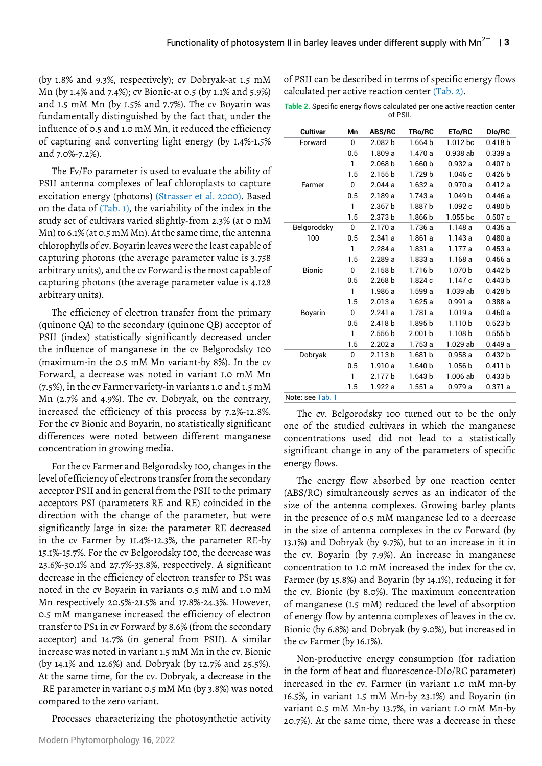(by 1.8% and 9.3%, respectively); cv Dobryak-at 1.5 mM Mn (by 1.4% and 7.4%); cv Bionic-at 0.5 (by 1.1% and 5.9%) and 1.5 mM Mn (by 1.5% and 7.7%). The cv Boyarin was fundamentally distinguished by the fact that, under the influence of 0.5 and 1.0 mM Mn, it reduced the efficiency of capturing and converting light energy (by 1.4%-1.5% and 7.0%-7.2%).

The Fv/Fo parameter is used to evaluate the ability of PSII antenna complexes of leaf chloroplasts to capture excitation energy (photons) (Strasser et al. 2000). Based on the data of (Tab. 1), the variability of the index in the study set of cultivars varied slightly-from 2.3% (at 0 mM Mn) to 6.1% (at 0.5 mM Mn). At the same time, the antenna chlorophylls of cv. Boyarin leaves were the least capable of capturing photons (the average parameter value is 3.758 arbitrary units), and the cv Forward is the most capable of capturing photons (the average parameter value is 4.128 arbitrary units).

The efficiency of electron transfer from the primary (quinone QA) to the secondary (quinone QB) acceptor of PSII (index) statistically significantly decreased under the influence of manganese in the cv Belgorodsky 100 (maximum-in the 0.5 mM Mn variant-by 8%). In the cv Forward, a decrease was noted in variant 1.0 mM Mn (7.5%), in the cv Farmer variety-in variants 1.0 and 1.5 mM Mn (2.7% and 4.9%). The cv. Dobryak, on the contrary, increased the efficiency of this process by 7.2%-12.8%. For the cv Bionic and Boyarin, no statistically significant differences were noted between different manganese concentration in growing media.

For the cv Farmer and Belgorodsky 100, changes in the level of efficiency of electrons transfer from the secondary acceptor PSII and in general from the PSII to the primary acceptors PSI (parameters RE and RE) coincided in the direction with the change of the parameter, but were significantly large in size: the parameter RE decreased in the cv Farmer by 11.4%-12.3%, the parameter RE-by 15.1%-15.7%. For the cv Belgorodsky 100, the decrease was 23.6%-30.1% and 27.7%-33.8%, respectively. A significant decrease in the efficiency of electron transfer to PS1 was noted in the cv Boyarin in variants 0.5 mM and 1.0 mM Mn respectively 20.5%-21.5% and 17.8%-24.3%. However, 0.5 mM manganese increased the efficiency of electron transfer to PS1 in cv Forward by 8.6% (from the secondary acceptor) and 14.7% (in general from PSII). A similar increase was noted in variant 1.5 mM Mn in the cv. Bionic (by 14.1% and 12.6%) and Dobryak (by 12.7% and 25.5%). At the same time, for the cv. Dobryak, a decrease in the RE parameter in variant 0.5 mM Mn (by 3.8%) was noted compared to the zero variant.

Processes characterizing the photosynthetic activity

of PSII can be described in terms of specific energy flows calculated per active reaction center (Tab. 2).

**Table 2.** Specific energy flows calculated per one active reaction center of PSII.

| Cultivar         | Mn           | <b>ABS/RC</b>      | <b>TRo/RC</b>      | <b>ETo/RC</b>      | <b>DIo/RC</b>      |
|------------------|--------------|--------------------|--------------------|--------------------|--------------------|
| Forward          | 0            | 2.082 <sub>b</sub> | 1.664 <sub>b</sub> | 1.012 bc           | 0.418 <sub>b</sub> |
|                  | 0.5          | 1.809 a            | 1.470 a            | 0.938ab            | 0.339a             |
|                  | 1            | 2.068 <sub>b</sub> | 1.660 <sub>b</sub> | 0.932a             | 0.407 b            |
|                  | 1.5          | 2.155 <sub>b</sub> | 1.729 b            | 1.046c             | 0.426 b            |
| Farmer           | 0            | 2.044a             | 1.632a             | 0.970a             | 0.412a             |
|                  | 0.5          | 2.189a             | 1.743 a            | 1.049 <sub>b</sub> | 0.446a             |
|                  | 1            | 2.367 <sub>b</sub> | 1.887b             | 1.092c             | 0.480 <sub>b</sub> |
|                  | 1.5          | 2.373 <sub>b</sub> | 1.866 b            | $1.055$ bc         | 0.507c             |
| Belgorodsky      | 0            | 2.170a             | 1.736 a            | 1.148a             | 0.435a             |
| 100              | 0.5          | 2.341a             | 1.861 a            | 1.143 a            | 0.480a             |
|                  | 1            | 2.284a             | 1.831a             | 1.177 a            | 0.453a             |
|                  | 1.5          | 2.289a             | 1.833a             | 1.168a             | 0.456a             |
| <b>Bionic</b>    | 0            | 2.158 b            | 1.716 <sub>b</sub> | 1.070 <sub>b</sub> | 0.442 b            |
|                  | 0.5          | 2.268 <sub>b</sub> | 1.824c             | 1.147c             | 0.443 b            |
|                  | $\mathbf{1}$ | 1.986 a            | 1.599a             | 1.039 ab           | 0.428 b            |
|                  | 1.5          | 2.013a             | 1.625a             | 0.991a             | 0.388a             |
| Boyarin          | 0            | 2.241a             | 1.781 a            | 1.019a             | 0.460a             |
|                  | 0.5          | 2.418 <sub>b</sub> | 1.895 b            | 1.110 <sub>b</sub> | 0.523 b            |
|                  | $\mathbf{1}$ | 2.556 <sub>b</sub> | 2.001 <sub>b</sub> | 1.108 <sub>b</sub> | 0.555 b            |
|                  | 1.5          | 2.202a             | 1.753 a            | 1.029 ab           | 0.449a             |
| Dobryak          | 0            | 2.113 <sub>b</sub> | 1.681 b            | 0.958a             | 0.432 b            |
|                  | 0.5          | 1.910a             | 1.640 <sub>b</sub> | 1.056 <sub>b</sub> | 0.411 b            |
|                  | 1            | 2.177 <sub>b</sub> | 1.643 <sub>b</sub> | 1.006 ab           | 0.433 b            |
|                  | 1.5          | 1.922 a            | 1.551a             | 0.979a             | 0.371a             |
| Noto: coo Tob. 1 |              |                    |                    |                    |                    |

Note: see Tab. T

The cv. Belgorodsky 100 turned out to be the only one of the studied cultivars in which the manganese concentrations used did not lead to a statistically significant change in any of the parameters of specific energy flows.

The energy flow absorbed by one reaction center (ABS/RC) simultaneously serves as an indicator of the size of the antenna complexes. Growing barley plants in the presence of 0.5 mM manganese led to a decrease in the size of antenna complexes in the cv Forward (by 13.1%) and Dobryak (by 9.7%), but to an increase in it in the cv. Boyarin (by 7.9%). An increase in manganese concentration to 1.0 mM increased the index for the cv. Farmer (by 15.8%) and Boyarin (by 14.1%), reducing it for the cv. Bionic (by 8.0%). The maximum concentration of manganese (1.5 mM) reduced the level of absorption of energy flow by antenna complexes of leaves in the cv. Bionic (by 6.8%) and Dobryak (by 9.0%), but increased in the cv Farmer (by 16.1%).

Non-productive energy consumption (for radiation in the form of heat and fluorescence-DIo/RC parameter) increased in the cv. Farmer (in variant 1.0 mM mn-by 16.5%, in variant 1.5 mM Mn-by 23.1%) and Boyarin (in variant 0.5 mM Mn-by 13.7%, in variant 1.0 mM Mn-by 20.7%). At the same time, there was a decrease in these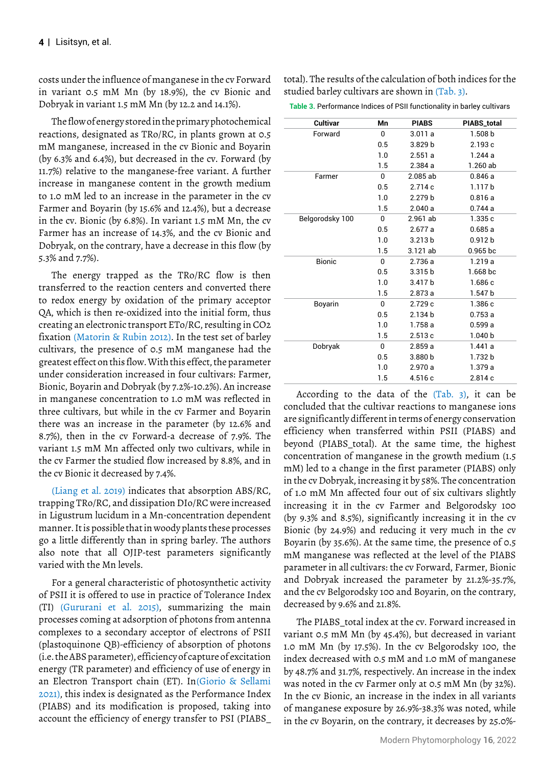costs under the influence of manganese in the cv Forward in variant 0.5 mM Mn (by 18.9%), the cv Bionic and Dobryak in variant 1.5 mM Mn (by 12.2 and 14.1%).

The flow of energy stored in the primary photochemical reactions, designated as TRo/RC, in plants grown at 0.5 mM manganese, increased in the cv Bionic and Boyarin (by 6.3% and 6.4%), but decreased in the cv. Forward (by 11.7%) relative to the manganese-free variant. A further increase in manganese content in the growth medium to 1.0 mM led to an increase in the parameter in the cv Farmer and Boyarin (by 15.6% and 12.4%), but a decrease in the cv. Bionic (by 6.8%). In variant 1.5 mM Mn, the cv Farmer has an increase of 14.3%, and the cv Bionic and Dobryak, on the contrary, have a decrease in this flow (by 5.3% and 7.7%).

The energy trapped as the TRo/RC flow is then transferred to the reaction centers and converted there to redox energy by oxidation of the primary acceptor QA, which is then re-oxidized into the initial form, thus creating an electronic transport ETo/RC, resulting in CO2 fixation (Matorin & Rubin 2012). In the test set of barley cultivars, the presence of 0.5 mM manganese had the greatest effect on this flow. With this effect, the parameter under consideration increased in four cultivars: Farmer, Bionic, Boyarin and Dobryak (by 7.2%-10.2%). An increase in manganese concentration to 1.0 mM was reflected in three cultivars, but while in the cv Farmer and Boyarin there was an increase in the parameter (by 12.6% and 8.7%), then in the cv Forward-a decrease of 7.9%. The variant 1.5 mM Mn affected only two cultivars, while in the cv Farmer the studied flow increased by 8.8%, and in the cv Bionic it decreased by 7.4%.

(Liang et al. 2019) indicates that absorption ABS/RC, trapping TRo/RC, and dissipation DIo/RC were increased in Ligustrum lucidum in a Mn-concentration dependent manner. It is possible that in woody plants these processes go a little differently than in spring barley. The authors also note that all OJIP-test parameters significantly varied with the Mn levels.

For a general characteristic of photosynthetic activity of PSII it is offered to use in practice of Tolerance Index (TI) (Gururani et al. 2015), summarizing the main processes coming at adsorption of photons from antenna complexes to a secondary acceptor of electrons of PSII (plastoquinone QB)-efficiency of absorption of photons (i.e. the ABS parameter), efficiency of capture of excitation energy (TR parameter) and efficiency of use of energy in an Electron Transport chain (ET). In (Giorio & Sellami 2021), this index is designated as the Performance Index (PIABS) and its modification is proposed, taking into account the efficiency of energy transfer to PSI (PIABS\_

total). The results of the calculation of both indices for the studied barley cultivars are shown in (Tab. 3).

**Table 3.** Performance Indices of PSII functionality in barley cultivars

| <b>Cultivar</b> | Mn  | <b>PIABS</b>       | PIABS_total         |
|-----------------|-----|--------------------|---------------------|
| Forward         | 0   | 3.011a             | 1.508 <sub>b</sub>  |
|                 | 0.5 | 3.829 <sub>b</sub> | 2.193 c             |
|                 | 1.0 | 2.551a             | 1.244a              |
|                 | 1.5 | 2.384a             | 1.260 ab            |
| Farmer          | 0   | 2.085 ab           | 0.846a              |
|                 | 0.5 | 2.714c             | 1.117 <sub>b</sub>  |
|                 | 1.0 | 2.279 <sub>b</sub> | 0.816a              |
|                 | 1.5 | 2.040a             | 0.744a              |
| Belgorodsky 100 | 0   | 2.961 ab           | 1.335c              |
|                 | 0.5 | 2.677a             | 0.685a              |
|                 | 1.0 | 3.213 <sub>b</sub> | 0.912 <sub>b</sub>  |
|                 | 1.5 | 3.121 ab           | 0.965 <sub>b</sub>  |
| <b>Bionic</b>   | 0   | 2.736a             | 1.219a              |
|                 | 0.5 | 3.315 <sub>b</sub> | 1.668 <sub>bc</sub> |
|                 | 1.0 | 3.417b             | 1.686 c             |
|                 | 1.5 | 2.873a             | 1.547 <sub>b</sub>  |
| Boyarin         | 0   | 2.729 c            | 1.386 c             |
|                 | 0.5 | 2.134 <sub>b</sub> | 0.753a              |
|                 | 1.0 | 1.758a             | 0.599a              |
|                 | 1.5 | 2.513c             | 1.040 <sub>b</sub>  |
| Dobryak         | 0   | 2.859a             | 1.441a              |
|                 | 0.5 | 3.880 <sub>b</sub> | 1.732 b             |
|                 | 1.0 | 2.970a             | 1.379a              |
|                 | 1.5 | 4.516 c            | 2.814c              |

According to the data of the (Tab. 3), it can be concluded that the cultivar reactions to manganese ions are significantly different in terms of energy conservation efficiency when transferred within PSII (PIABS) and beyond (PIABS\_total). At the same time, the highest concentration of manganese in the growth medium (1.5 mM) led to a change in the first parameter (PIABS) only in the cv Dobryak, increasing it by 58%. The concentration of 1.0 mM Mn affected four out of six cultivars slightly increasing it in the cv Farmer and Belgorodsky 100 (by 9.3% and 8.5%), significantly increasing it in the cv Bionic (by 24.9%) and reducing it very much in the cv Boyarin (by 35.6%). At the same time, the presence of 0.5 mM manganese was reflected at the level of the PIABS parameter in all cultivars: the cv Forward, Farmer, Bionic and Dobryak increased the parameter by 21.2%-35.7%, and the cv Belgorodsky 100 and Boyarin, on the contrary, decreased by 9.6% and 21.8%.

The PIABS total index at the cv. Forward increased in variant 0.5 mM Mn (by 45.4%), but decreased in variant 1.0 mM Mn (by 17.5%). In the cv Belgorodsky 100, the index decreased with 0.5 mM and 1.0 mM of manganese by 48.7% and 31.7%, respectively. An increase in the index was noted in the cv Farmer only at 0.5 mM Mn (by 32%). In the cv Bionic, an increase in the index in all variants of manganese exposure by 26.9%-38.3% was noted, while in the cv Boyarin, on the contrary, it decreases by 25.0%-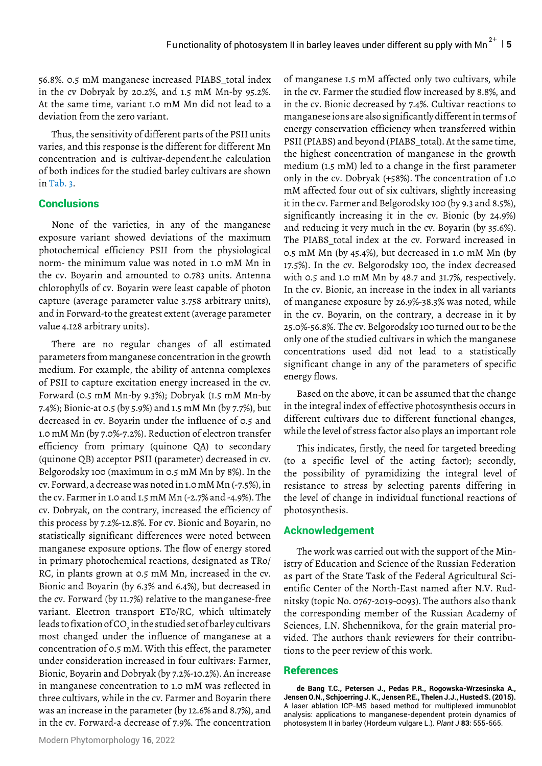56.8%. 0.5 mM manganese increased PIABS\_total index in the cv Dobryak by 20.2%, and 1.5 mM Mn-by 95.2%. At the same time, variant 1.0 mM Mn did not lead to a deviation from the zero variant.

Thus, the sensitivity of different parts of the PSII units varies, and this response is the different for different Mn concentration and is cultivar-dependent.he calculation of both indices for the studied barley cultivars are shown in Tab. 3.

### **Conclusions**

None of the varieties, in any of the manganese exposure variant showed deviations of the maximum photochemical efficiency PSII from the physiological norm- the minimum value was noted in 1.0 mM Mn in the cv. Boyarin and amounted to 0.783 units. Antenna chlorophylls of cv. Boyarin were least capable of photon capture (average parameter value 3.758 arbitrary units), and in Forward-to the greatest extent (average parameter value 4.128 arbitrary units).

There are no regular changes of all estimated parameters from manganese concentration in the growth medium. For example, the ability of antenna complexes of PSII to capture excitation energy increased in the cv. Forward (0.5 mM Mn-by 9.3%); Dobryak (1.5 mM Mn-by 7.4%); Bionic-at 0.5 (by 5.9%) and 1.5 mM Mn (by 7.7%), but decreased in cv. Boyarin under the influence of 0.5 and 1.0 mM Mn (by 7.0%-7.2%). Reduction of electron transfer efficiency from primary (quinone QA) to secondary (quinone QB) acceptor PSII (parameter) decreased in cv. Belgorodsky 100 (maximum in 0.5 mM Mn by 8%). In the cv. Forward, a decrease was noted in 1.0 mM Mn (-7.5%), in the cv. Farmer in 1.0 and 1.5 mM Mn (-2.7% and -4.9%). The cv. Dobryak, on the contrary, increased the efficiency of this process by 7.2%-12.8%. For cv. Bionic and Boyarin, no statistically significant differences were noted between manganese exposure options. The flow of energy stored in primary photochemical reactions, designated as TRo/ RC, in plants grown at 0.5 mM Mn, increased in the cv. Bionic and Boyarin (by 6.3% and 6.4%), but decreased in the cv. Forward (by 11.7%) relative to the manganese-free variant. Electron transport ETo/RC, which ultimately leads to fixation of CO<sub>2</sub> in the studied set of barley cultivars most changed under the influence of manganese at a concentration of 0.5 mM. With this effect, the parameter under consideration increased in four cultivars: Farmer, Bionic, Boyarin and Dobryak (by 7.2%-10.2%). An increase in manganese concentration to 1.0 mM was reflected in three cultivars, while in the cv. Farmer and Boyarin there was an increase in the parameter (by 12.6% and 8.7%), and in the cv. Forward-a decrease of 7.9%. The concentration

of manganese 1.5 mM affected only two cultivars, while in the cv. Farmer the studied flow increased by 8.8%, and in the cv. Bionic decreased by 7.4%. Cultivar reactions to manganese ions are also significantly different in terms of energy conservation efficiency when transferred within PSII (PIABS) and beyond (PIABS\_total). At the same time, the highest concentration of manganese in the growth medium (1.5 mM) led to a change in the first parameter mM affected four out of six cultivars, slightly increasing it in the cv. Farmer and Belgorodsky 100 (by 9.3 and 8.5%), significantly increasing it in the cv. Bionic (by 24.9%) and reducing it very much in the cv. Boyarin (by 35.6%). The PIABS total index at the cv. Forward increased in 0.5 mM Mn (by 45.4%), but decreased in 1.0 mM Mn (by 17.5%). In the cv. Belgorodsky 100, the index decreased with 0.5 and 1.0 mM Mn by 48.7 and 31.7%, respectively. In the cv. Bionic, an increase in the index in all variants of manganese exposure by 26.9%-38.3% was noted, while in the cv. Boyarin, on the contrary, a decrease in it by 25.0%-56.8%. The cv. Belgorodsky 100 turned out to be the only one of the studied cultivars in which the manganese concentrations used did not lead to a statistically significant change in any of the parameters of specific energy flows. only in the cv. Dobryak (+58%). The concentration of 1.0

Based on the above, it can be assumed that the change in the integral index of effective photosynthesis occurs in different cultivars due to different functional changes, while the level of stress factor also plays an important role

This indicates, firstly, the need for targeted breeding (to a specific level of the acting factor); secondly, the possibility of pyramidizing the integral level of resistance to stress by selecting parents differing in the level of change in individual functional reactions of photosynthesis.

# **Acknowledgement**

The work was carried out with the support of the Ministry of Education and Science of the Russian Federation as part of the State Task of the Federal Agricultural Scientific Center of the North-East named after N.V. Rudnitsky (topic No. 0767-2019-0093). The authors also thank the corresponding member of the Russian Academy of Sciences, I.N. Shchennikova, for the grain material provided. The authors thank reviewers for their contributions to the peer review of this work.

#### References

**de Bang T.C., Petersen J., Pedas P.R., Rogowska-Wrzesinska A., Jensen O.N., Schjoerring J. K., Jensen P.E., Thelen J.J., Husted S. (2015).**  [A laser ablation ICP-MS based method for multiplexed immunoblot](https://onlinelibrary.wiley.com/doi/full/10.1111/tpj.12906)  [analysis: applications to manganese-dependent protein dynamics of](https://onlinelibrary.wiley.com/doi/full/10.1111/tpj.12906)  [photosystem II in barley \(Hordeum vulgare L.\)](https://onlinelibrary.wiley.com/doi/full/10.1111/tpj.12906). *Plant J* **83**: 555-565.